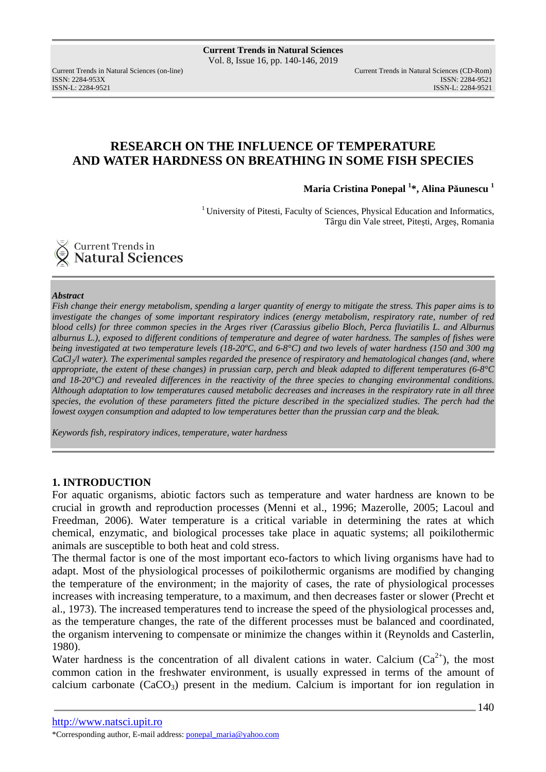ISSN: 2284-953XISSN: 2284-9521

Current Trends in Natural Sciences (on-line) Current Trends in Natural Sciences (CD-Rom) ISSN-L: 2284-9521

# **RESEARCH ON THE INFLUENCE OF TEMPERATURE AND WATER HARDNESS ON BREATHING IN SOME FISH SPECIES**

**Maria Cristina Ponepal <sup>1</sup> \*, Alina Păunescu <sup>1</sup>**

 $1$ University of Pitesti, Faculty of Sciences, Physical Education and Informatics, Târgu din Vale street, Piteşti, Argeş, Romania



### *Abstract*

*Fish change their energy metabolism, spending a larger quantity of energy to mitigate the stress. This paper aims is to investigate the changes of some important respiratory indices (energy metabolism, respiratory rate, number of red blood cells) for three common species in the Arges river (Carassius gibelio Bloch, Perca fluviatilis L. and Alburnus alburnus L.), exposed to different conditions of temperature and degree of water hardness. The samples of fishes were being investigated at two temperature levels (18-20ºC, and 6-8°C) and two levels of water hardness (150 and 300 mg CaCl2/l water). The experimental samples regarded the presence of respiratory and hematological changes (and, where appropriate, the extent of these changes) in prussian carp, perch and bleak adapted to different temperatures (6-8°C and 18-20°C) and revealed differences in the reactivity of the three species to changing environmental conditions. Although adaptation to low temperatures caused metabolic decreases and increases in the respiratory rate in all three*  species, the evolution of these parameters fitted the picture described in the specialized studies. The perch had the *lowest oxygen consumption and adapted to low temperatures better than the prussian carp and the bleak.*

*Keywords fish, respiratory indices, temperature, water hardness* 

### **1. INTRODUCTION**

For aquatic organisms, abiotic factors such as temperature and water hardness are known to be crucial in growth and reproduction processes (Menni et al., 1996; Mazerolle, 2005; Lacoul and Freedman, 2006). Water temperature is a critical variable in determining the rates at which chemical, enzymatic, and biological processes take place in aquatic systems; all poikilothermic animals are susceptible to both heat and cold stress.

The thermal factor is one of the most important eco-factors to which living organisms have had to adapt. Most of the physiological processes of poikilothermic organisms are modified by changing the temperature of the environment; in the majority of cases, the rate of physiological processes increases with increasing temperature, to a maximum, and then decreases faster or slower (Precht et al., 1973). The increased temperatures tend to increase the speed of the physiological processes and, as the temperature changes, the rate of the different processes must be balanced and coordinated, the organism intervening to compensate or minimize the changes within it (Reynolds and Casterlin, 1980).

Water hardness is the concentration of all divalent cations in water. Calcium  $(Ca^{2+})$ , the most common cation in the freshwater environment, is usually expressed in terms of the amount of calcium carbonate  $(CaCO<sub>3</sub>)$  present in the medium. Calcium is important for ion regulation in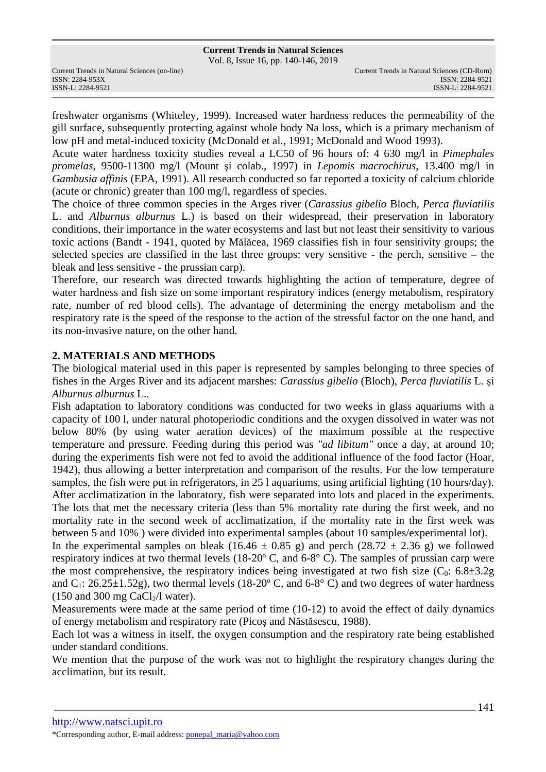Vol. 8, Issue 16, pp. 140-146, 2019

freshwater organisms (Whiteley, 1999). Increased water hardness reduces the permeability of the gill surface, subsequently protecting against whole body Na loss, which is a primary mechanism of low pH and metal-induced toxicity (McDonald et al., 1991; McDonald and Wood 1993).

Acute water hardness toxicity studies reveal a LC50 of 96 hours of: 4 630 mg/l in *Pimephales promelas*, 9500-11300 mg/l (Mount şi colab., 1997) in *Lepomis macrochirus*, 13.400 mg/l in *Gambusia affinis* (EPA, 1991). All research conducted so far reported a toxicity of calcium chloride (acute or chronic) greater than 100 mg/l, regardless of species.

The choice of three common species in the Arges river (*Carassius gibelio* Bloch, *Perca fluviatilis*  L. and *Alburnus alburnus* L.) is based on their widespread, their preservation in laboratory conditions, their importance in the water ecosystems and last but not least their sensitivity to various toxic actions (Bandt - 1941, quoted by Mălăcea, 1969 classifies fish in four sensitivity groups; the selected species are classified in the last three groups: very sensitive - the perch, sensitive – the bleak and less sensitive - the prussian carp).

Therefore, our research was directed towards highlighting the action of temperature, degree of water hardness and fish size on some important respiratory indices (energy metabolism, respiratory rate, number of red blood cells). The advantage of determining the energy metabolism and the respiratory rate is the speed of the response to the action of the stressful factor on the one hand, and its non-invasive nature, on the other hand.

## **2. MATERIALS AND METHODS**

The biological material used in this paper is represented by samples belonging to three species of fishes in the Arges River and its adjacent marshes: *Carassius gibelio* (Bloch), *Perca fluviatilis* L. şi *Alburnus alburnus* L..

Fish adaptation to laboratory conditions was conducted for two weeks in glass aquariums with a capacity of 100 l, under natural photoperiodic conditions and the oxygen dissolved in water was not below 80% (by using water aeration devices) of the maximum possible at the respective temperature and pressure. Feeding during this period was *"ad libitum"* once a day, at around 10; during the experiments fish were not fed to avoid the additional influence of the food factor (Hoar, 1942), thus allowing a better interpretation and comparison of the results. For the low temperature samples, the fish were put in refrigerators, in 25 l aquariums, using artificial lighting (10 hours/day). After acclimatization in the laboratory, fish were separated into lots and placed in the experiments. The lots that met the necessary criteria (less than 5% mortality rate during the first week, and no mortality rate in the second week of acclimatization, if the mortality rate in the first week was between 5 and 10% ) were divided into experimental samples (about 10 samples/experimental lot).

In the experimental samples on bleak (16.46  $\pm$  0.85 g) and perch (28.72  $\pm$  2.36 g) we followed respiratory indices at two thermal levels (18-20º C, and 6-8° C). The samples of prussian carp were the most comprehensive, the respiratory indices being investigated at two fish size ( $C_0$ : 6.8 $\pm$ 3.2g) and  $C_1$ : 26.25 $\pm$ 1.52g), two thermal levels (18-20 $\degree$  C, and 6-8 $\degree$  C) and two degrees of water hardness  $(150 \text{ and } 300 \text{ mg } \text{CaCl}_{2}/l \text{ water}).$ 

Measurements were made at the same period of time (10-12) to avoid the effect of daily dynamics of energy metabolism and respiratory rate (Picoş and Năstăsescu, 1988).

Each lot was a witness in itself, the oxygen consumption and the respiratory rate being established under standard conditions.

We mention that the purpose of the work was not to highlight the respiratory changes during the acclimation, but its result.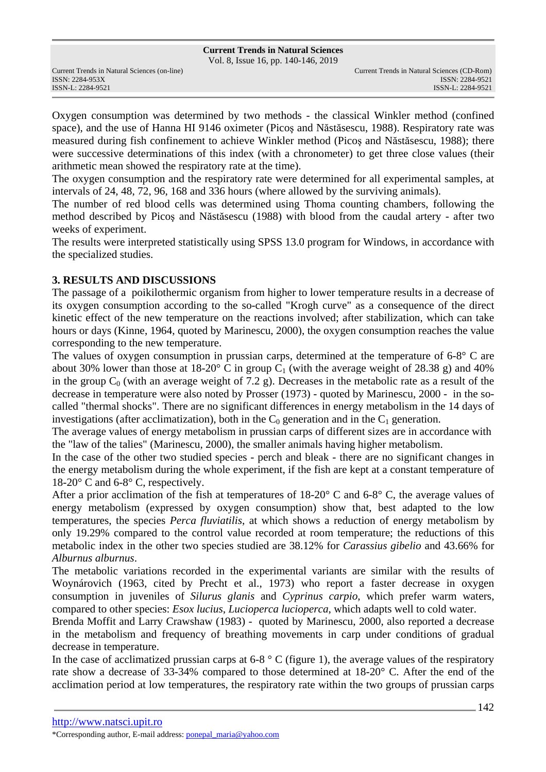Vol. 8, Issue 16, pp. 140-146, 2019

ISSN: 2284-953XISSN: 2284-9521

Oxygen consumption was determined by two methods - the classical Winkler method (confined space), and the use of Hanna HI 9146 oximeter (Picoş and Năstăsescu, 1988). Respiratory rate was measured during fish confinement to achieve Winkler method (Picoş and Năstăsescu, 1988); there were successive determinations of this index (with a chronometer) to get three close values (their arithmetic mean showed the respiratory rate at the time).

The oxygen consumption and the respiratory rate were determined for all experimental samples, at intervals of 24, 48, 72, 96, 168 and 336 hours (where allowed by the surviving animals).

The number of red blood cells was determined using Thoma counting chambers, following the method described by Picoş and Năstăsescu (1988) with blood from the caudal artery - after two weeks of experiment.

The results were interpreted statistically using SPSS 13.0 program for Windows, in accordance with the specialized studies.

## **3. RESULTS AND DISCUSSIONS**

The passage of a poikilothermic organism from higher to lower temperature results in a decrease of its oxygen consumption according to the so-called "Krogh curve" as a consequence of the direct kinetic effect of the new temperature on the reactions involved; after stabilization, which can take hours or days (Kinne, 1964, quoted by Marinescu, 2000), the oxygen consumption reaches the value corresponding to the new temperature.

The values of oxygen consumption in prussian carps, determined at the temperature of 6-8° C are about 30% lower than those at 18-20 $\degree$  C in group C<sub>1</sub> (with the average weight of 28.38 g) and 40% in the group  $C_0$  (with an average weight of 7.2 g). Decreases in the metabolic rate as a result of the decrease in temperature were also noted by Prosser (1973) - quoted by Marinescu, 2000 - in the socalled "thermal shocks". There are no significant differences in energy metabolism in the 14 days of investigations (after acclimatization), both in the  $C_0$  generation and in the  $C_1$  generation.

The average values of energy metabolism in prussian carps of different sizes are in accordance with the "law of the talies" (Marinescu, 2000), the smaller animals having higher metabolism.

In the case of the other two studied species - perch and bleak - there are no significant changes in the energy metabolism during the whole experiment, if the fish are kept at a constant temperature of 18-20° C and 6-8° C, respectively.

After a prior acclimation of the fish at temperatures of 18-20° C and 6-8° C, the average values of energy metabolism (expressed by oxygen consumption) show that, best adapted to the low temperatures, the species *Perca fluviatilis*, at which shows a reduction of energy metabolism by only 19.29% compared to the control value recorded at room temperature; the reductions of this metabolic index in the other two species studied are 38.12% for *Carassius gibelio* and 43.66% for *Alburnus alburnus*.

The metabolic variations recorded in the experimental variants are similar with the results of Woynárovich (1963, cited by Precht et al., 1973) who report a faster decrease in oxygen consumption in juveniles of *Silurus glanis* and *Cyprinus carpio*, which prefer warm waters, compared to other species: *Esox lucius*, *Lucioperca lucioperca*, which adapts well to cold water.

Brenda Moffit and Larry Crawshaw (1983) - quoted by Marinescu, 2000, also reported a decrease in the metabolism and frequency of breathing movements in carp under conditions of gradual decrease in temperature.

In the case of acclimatized prussian carps at  $6-8$  ° C (figure 1), the average values of the respiratory rate show a decrease of 33-34% compared to those determined at 18-20° C. After the end of the acclimation period at low temperatures, the respiratory rate within the two groups of prussian carps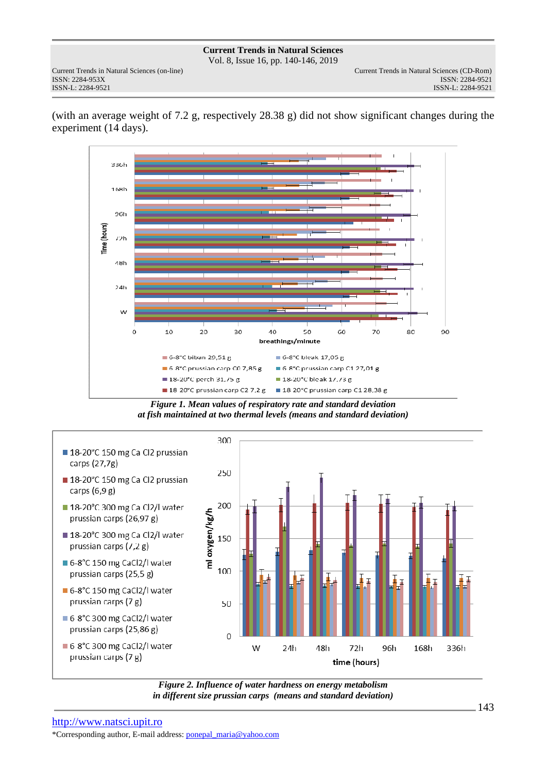**Current Trends in Natural Sciences** Vol. 8, Issue 16, pp. 140-146, 2019

(with an average weight of 7.2 g, respectively 28.38 g) did not show significant changes during the experiment (14 days).



*Figure 1. Mean values of respiratory rate and standard deviation at fish maintained at two thermal levels (means and standard deviation)* 



*Figure 2. Influence of water hardness on energy metabolism in different size prussian carps (means and standard deviation)*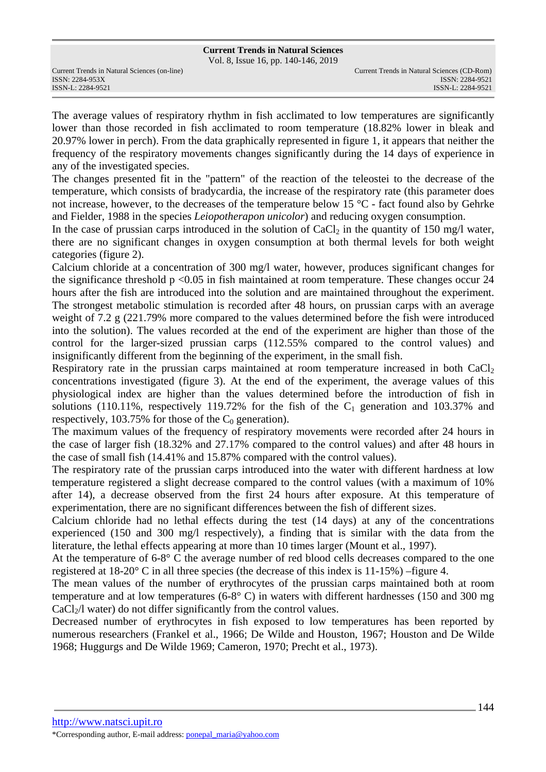Vol. 8, Issue 16, pp. 140-146, 2019

ISSN: 2284-953XISSN: 2284-9521

The average values of respiratory rhythm in fish acclimated to low temperatures are significantly lower than those recorded in fish acclimated to room temperature (18.82% lower in bleak and 20.97% lower in perch). From the data graphically represented in figure 1, it appears that neither the frequency of the respiratory movements changes significantly during the 14 days of experience in any of the investigated species.

The changes presented fit in the "pattern" of the reaction of the teleostei to the decrease of the temperature, which consists of bradycardia, the increase of the respiratory rate (this parameter does not increase, however, to the decreases of the temperature below 15 °C - fact found also by Gehrke and Fielder, 1988 in the species *Leiopotherapon unicolor*) and reducing oxygen consumption.

In the case of prussian carps introduced in the solution of  $CaCl<sub>2</sub>$  in the quantity of 150 mg/l water, there are no significant changes in oxygen consumption at both thermal levels for both weight categories (figure 2).

Calcium chloride at a concentration of 300 mg/l water, however, produces significant changes for the significance threshold  $p < 0.05$  in fish maintained at room temperature. These changes occur 24 hours after the fish are introduced into the solution and are maintained throughout the experiment. The strongest metabolic stimulation is recorded after 48 hours, on prussian carps with an average weight of 7.2 g (221.79% more compared to the values determined before the fish were introduced into the solution). The values recorded at the end of the experiment are higher than those of the control for the larger-sized prussian carps (112.55% compared to the control values) and insignificantly different from the beginning of the experiment, in the small fish.

Respiratory rate in the prussian carps maintained at room temperature increased in both  $CaCl<sub>2</sub>$ concentrations investigated (figure 3). At the end of the experiment, the average values of this physiological index are higher than the values determined before the introduction of fish in solutions (110.11%, respectively 119.72% for the fish of the  $C_1$  generation and 103.37% and respectively, 103.75% for those of the  $C_0$  generation).

The maximum values of the frequency of respiratory movements were recorded after 24 hours in the case of larger fish (18.32% and 27.17% compared to the control values) and after 48 hours in the case of small fish (14.41% and 15.87% compared with the control values).

The respiratory rate of the prussian carps introduced into the water with different hardness at low temperature registered a slight decrease compared to the control values (with a maximum of 10% after 14), a decrease observed from the first 24 hours after exposure. At this temperature of experimentation, there are no significant differences between the fish of different sizes.

Calcium chloride had no lethal effects during the test (14 days) at any of the concentrations experienced (150 and 300 mg/l respectively), a finding that is similar with the data from the literature, the lethal effects appearing at more than 10 times larger (Mount et al., 1997).

At the temperature of 6-8° C the average number of red blood cells decreases compared to the one registered at  $18-20^{\circ}$  C in all three species (the decrease of this index is  $11-15\%$ ) –figure 4.

The mean values of the number of erythrocytes of the prussian carps maintained both at room temperature and at low temperatures (6-8° C) in waters with different hardnesses (150 and 300 mg  $CaCl<sub>2</sub>/l$  water) do not differ significantly from the control values.

Decreased number of erythrocytes in fish exposed to low temperatures has been reported by numerous researchers (Frankel et al., 1966; De Wilde and Houston, 1967; Houston and De Wilde 1968; Huggurgs and De Wilde 1969; Cameron, 1970; Precht et al., 1973).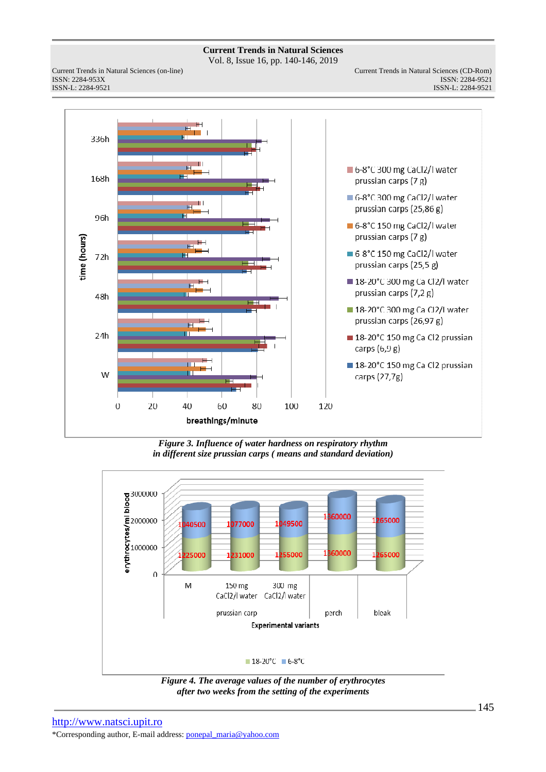Vol. 8, Issue 16, pp. 140-146, 2019

ISSN: 2284-953XISSN: 2284-9521



*Figure 3. Influence of water hardness on respiratory rhythm in different size prussian carps ( means and standard deviation)* 



*Figure 4. The average values of the number of erythrocytes after two weeks from the setting of the experiments*